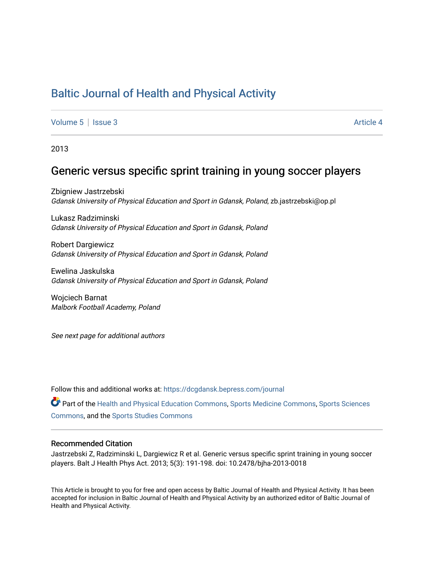# [Baltic Journal of Health and Physical Activity](https://dcgdansk.bepress.com/journal)

[Volume 5](https://dcgdansk.bepress.com/journal/vol5) | [Issue 3](https://dcgdansk.bepress.com/journal/vol5/iss3) Article 4

2013

## Generic versus specific sprint training in young soccer players

Zbigniew Jastrzebski Gdansk University of Physical Education and Sport in Gdansk, Poland, zb.jastrzebski@op.pl

Lukasz Radziminski Gdansk University of Physical Education and Sport in Gdansk, Poland

Robert Dargiewicz Gdansk University of Physical Education and Sport in Gdansk, Poland

Ewelina Jaskulska Gdansk University of Physical Education and Sport in Gdansk, Poland

Wojciech Barnat Malbork Football Academy, Poland

See next page for additional authors

Follow this and additional works at: [https://dcgdansk.bepress.com/journal](https://dcgdansk.bepress.com/journal?utm_source=dcgdansk.bepress.com%2Fjournal%2Fvol5%2Fiss3%2F4&utm_medium=PDF&utm_campaign=PDFCoverPages)

Part of the [Health and Physical Education Commons](http://network.bepress.com/hgg/discipline/1327?utm_source=dcgdansk.bepress.com%2Fjournal%2Fvol5%2Fiss3%2F4&utm_medium=PDF&utm_campaign=PDFCoverPages), [Sports Medicine Commons,](http://network.bepress.com/hgg/discipline/1331?utm_source=dcgdansk.bepress.com%2Fjournal%2Fvol5%2Fiss3%2F4&utm_medium=PDF&utm_campaign=PDFCoverPages) [Sports Sciences](http://network.bepress.com/hgg/discipline/759?utm_source=dcgdansk.bepress.com%2Fjournal%2Fvol5%2Fiss3%2F4&utm_medium=PDF&utm_campaign=PDFCoverPages) [Commons](http://network.bepress.com/hgg/discipline/759?utm_source=dcgdansk.bepress.com%2Fjournal%2Fvol5%2Fiss3%2F4&utm_medium=PDF&utm_campaign=PDFCoverPages), and the [Sports Studies Commons](http://network.bepress.com/hgg/discipline/1198?utm_source=dcgdansk.bepress.com%2Fjournal%2Fvol5%2Fiss3%2F4&utm_medium=PDF&utm_campaign=PDFCoverPages) 

#### Recommended Citation

Jastrzebski Z, Radziminski L, Dargiewicz R et al. Generic versus specific sprint training in young soccer players. Balt J Health Phys Act. 2013; 5(3): 191-198. doi: 10.2478/bjha-2013-0018

This Article is brought to you for free and open access by Baltic Journal of Health and Physical Activity. It has been accepted for inclusion in Baltic Journal of Health and Physical Activity by an authorized editor of Baltic Journal of Health and Physical Activity.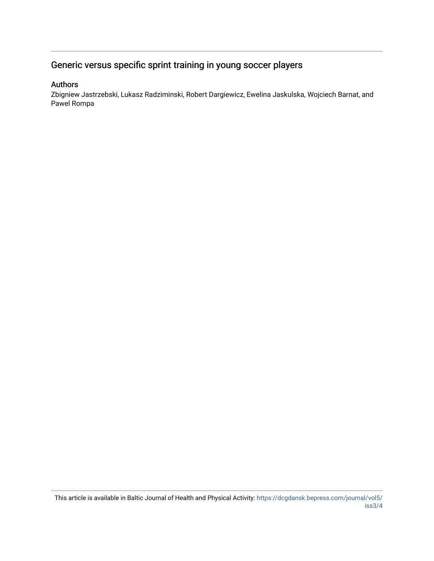## Generic versus specific sprint training in young soccer players

## Authors

Zbigniew Jastrzebski, Lukasz Radziminski, Robert Dargiewicz, Ewelina Jaskulska, Wojciech Barnat, and Pawel Rompa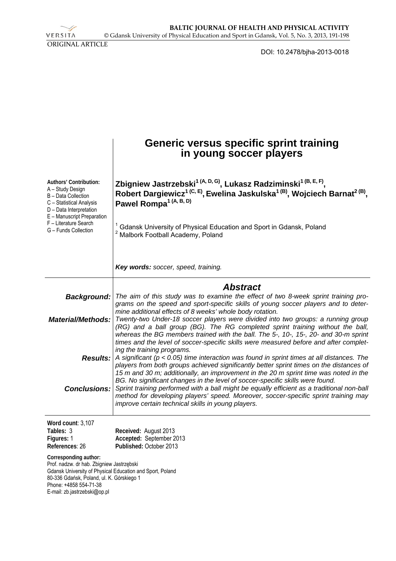VERSITA ORIGINAL ARTICLE

DOI: 10.2478/bjha-2013-0018

|                                                                                                                                                                                                                                        | Generic versus specific sprint training<br>in young soccer players                                                                                                                                                                                                                                                                                                                                                                                                                                   |
|----------------------------------------------------------------------------------------------------------------------------------------------------------------------------------------------------------------------------------------|------------------------------------------------------------------------------------------------------------------------------------------------------------------------------------------------------------------------------------------------------------------------------------------------------------------------------------------------------------------------------------------------------------------------------------------------------------------------------------------------------|
| Authors' Contribution:<br>A - Study Design<br>B - Data Collection<br>C - Statistical Analysis<br>D - Data Interpretation<br>E - Manuscript Preparation<br>F - Literature Search<br>G - Funds Collection                                | Zbigniew Jastrzebski <sup>1 (A, D, G)</sup> , Lukasz Radziminski <sup>1 (B, E, F)</sup> ,<br>Robert Dargiewicz <sup>1 (C, E)</sup> , Ewelina Jaskulska <sup>1 (B)</sup> , Wojciech Barnat <sup>2 (B)</sup> ,<br>Pawel Rompa <sup>1 (A, B, D)</sup>                                                                                                                                                                                                                                                   |
|                                                                                                                                                                                                                                        | Gdansk University of Physical Education and Sport in Gdansk, Poland<br>Malbork Football Academy, Poland                                                                                                                                                                                                                                                                                                                                                                                              |
|                                                                                                                                                                                                                                        | Key words: soccer, speed, training.                                                                                                                                                                                                                                                                                                                                                                                                                                                                  |
|                                                                                                                                                                                                                                        | <b>Abstract</b>                                                                                                                                                                                                                                                                                                                                                                                                                                                                                      |
| <b>Background:</b>                                                                                                                                                                                                                     | The aim of this study was to examine the effect of two 8-week sprint training pro-                                                                                                                                                                                                                                                                                                                                                                                                                   |
| <b>Material/Methods:</b>                                                                                                                                                                                                               | grams on the speed and sport-specific skills of young soccer players and to deter-<br>mine additional effects of 8 weeks' whole body rotation.<br>Twenty-two Under-18 soccer players were divided into two groups: a running group<br>(RG) and a ball group (BG). The RG completed sprint training without the ball,<br>whereas the BG members trained with the ball. The 5-, 10-, 15-, 20- and 30-m sprint<br>times and the level of soccer-specific skills were measured before and after complet- |
|                                                                                                                                                                                                                                        | ing the training programs.<br><b>Results:</b> A significant ( $p < 0.05$ ) time interaction was found in sprint times at all distances. The                                                                                                                                                                                                                                                                                                                                                          |
|                                                                                                                                                                                                                                        | players from both groups achieved significantly better sprint times on the distances of<br>15 m and 30 m; additionally, an improvement in the 20 m sprint time was noted in the                                                                                                                                                                                                                                                                                                                      |
| <b>Conclusions:</b>                                                                                                                                                                                                                    | BG. No significant changes in the level of soccer-specific skills were found.<br>Sprint training performed with a ball might be equally efficient as a traditional non-ball<br>method for developing players' speed. Moreover, soccer-specific sprint training may<br>improve certain technical skills in young players.                                                                                                                                                                             |
| Word count: 3,107                                                                                                                                                                                                                      |                                                                                                                                                                                                                                                                                                                                                                                                                                                                                                      |
| Tables: 3<br>Figures: 1                                                                                                                                                                                                                | Received: August 2013<br>Accepted: September 2013                                                                                                                                                                                                                                                                                                                                                                                                                                                    |
| References: 26                                                                                                                                                                                                                         | Published: October 2013                                                                                                                                                                                                                                                                                                                                                                                                                                                                              |
| Corresponding author:<br>Prof. nadzw. dr hab. Zbigniew Jastrzębski<br>Gdansk University of Physical Education and Sport, Poland<br>80-336 Gdańsk, Poland, ul. K. Górskiego 1<br>Phone: +4858 554-71-38<br>E-mail: zb.jastrzebski@op.pl |                                                                                                                                                                                                                                                                                                                                                                                                                                                                                                      |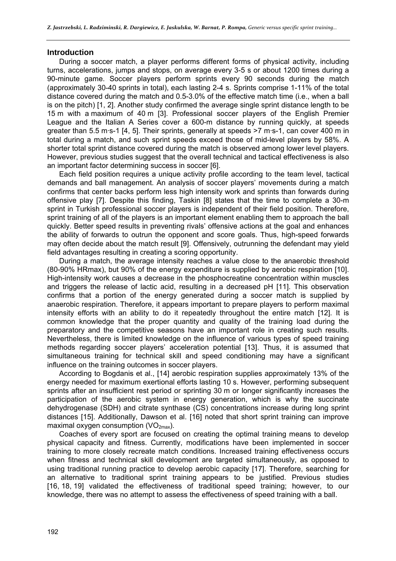#### **Introduction**

During a soccer match, a player performs different forms of physical activity, including turns, accelerations, jumps and stops, on average every 3-5 s or about 1200 times during a 90-minute game. Soccer players perform sprints every 90 seconds during the match (approximately 30-40 sprints in total), each lasting 2-4 s. Sprints comprise 1-11% of the total distance covered during the match and 0.5-3.0% of the effective match time (i.e., when a ball is on the pitch) [1, 2]. Another study confirmed the average single sprint distance length to be 15 m with a maximum of 40 m [3]. Professional soccer players of the English Premier League and the Italian A Series cover a 600-m distance by running quickly, at speeds greater than 5.5 m·s-1 [4, 5]. Their sprints, generally at speeds >7 m·s-1, can cover 400 m in total during a match, and such sprint speeds exceed those of mid-level players by 58%. A shorter total sprint distance covered during the match is observed among lower level players. However, previous studies suggest that the overall technical and tactical effectiveness is also an important factor determining success in soccer [6].

Each field position requires a unique activity profile according to the team level, tactical demands and ball management. An analysis of soccer players' movements during a match confirms that center backs perform less high intensity work and sprints than forwards during offensive play [7]. Despite this finding, Taskin [8] states that the time to complete a 30-m sprint in Turkish professional soccer players is independent of their field position. Therefore, sprint training of all of the players is an important element enabling them to approach the ball quickly. Better speed results in preventing rivals' offensive actions at the goal and enhances the ability of forwards to outrun the opponent and score goals. Thus, high-speed forwards may often decide about the match result [9]. Offensively, outrunning the defendant may yield field advantages resulting in creating a scoring opportunity.

During a match, the average intensity reaches a value close to the anaerobic threshold (80-90% HRmax), but 90% of the energy expenditure is supplied by aerobic respiration [10]. High-intensity work causes a decrease in the phosphocreatine concentration within muscles and triggers the release of lactic acid, resulting in a decreased pH [11]. This observation confirms that a portion of the energy generated during a soccer match is supplied by anaerobic respiration. Therefore, it appears important to prepare players to perform maximal intensity efforts with an ability to do it repeatedly throughout the entire match [12]. It is common knowledge that the proper quantity and quality of the training load during the preparatory and the competitive seasons have an important role in creating such results. Nevertheless, there is limited knowledge on the influence of various types of speed training methods regarding soccer players' acceleration potential [13]. Thus, it is assumed that simultaneous training for technical skill and speed conditioning may have a significant influence on the training outcomes in soccer players.

According to Bogdanis et al., [14] aerobic respiration supplies approximately 13% of the energy needed for maximum exertional efforts lasting 10 s. However, performing subsequent sprints after an insufficient rest period or sprinting 30 m or longer significantly increases the participation of the aerobic system in energy generation, which is why the succinate dehydrogenase (SDH) and citrate synthase (CS) concentrations increase during long sprint distances [15]. Additionally, Dawson et al. [16] noted that short sprint training can improve maximal oxygen consumption  $(VO_{2max})$ .

Coaches of every sport are focused on creating the optimal training means to develop physical capacity and fitness. Currently, modifications have been implemented in soccer training to more closely recreate match conditions. Increased training effectiveness occurs when fitness and technical skill development are targeted simultaneously, as opposed to using traditional running practice to develop aerobic capacity [17]. Therefore, searching for an alternative to traditional sprint training appears to be justified. Previous studies [16, 18, 19] validated the effectiveness of traditional speed training; however, to our knowledge, there was no attempt to assess the effectiveness of speed training with a ball.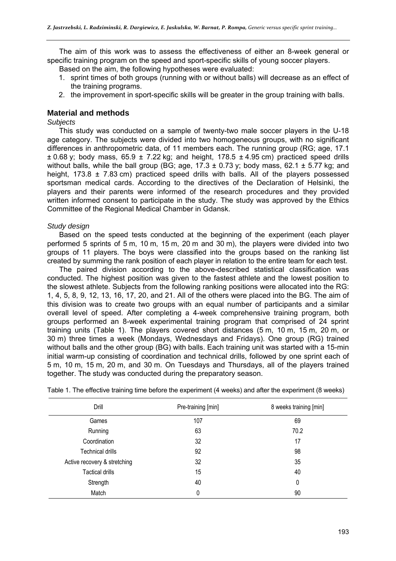The aim of this work was to assess the effectiveness of either an 8-week general or specific training program on the speed and sport-specific skills of young soccer players.

Based on the aim, the following hypotheses were evaluated:

- 1. sprint times of both groups (running with or without balls) will decrease as an effect of the training programs.
- 2. the improvement in sport-specific skills will be greater in the group training with balls.

## **Material and methods**

#### *Subjects*

This study was conducted on a sample of twenty-two male soccer players in the U-18 age category. The subjects were divided into two homogeneous groups, with no significant differences in anthropometric data, of 11 members each. The running group (RG; age, 17.1  $\pm$  0.68 y; body mass, 65.9  $\pm$  7.22 kg; and height, 178.5  $\pm$  4.95 cm) practiced speed drills without balls, while the ball group (BG; age,  $17.3 \pm 0.73$  y; body mass,  $62.1 \pm 5.77$  kg; and height, 173.8  $\pm$  7.83 cm) practiced speed drills with balls. All of the players possessed sportsman medical cards. According to the directives of the Declaration of Helsinki, the players and their parents were informed of the research procedures and they provided written informed consent to participate in the study. The study was approved by the Ethics Committee of the Regional Medical Chamber in Gdansk.

#### *Study design*

Based on the speed tests conducted at the beginning of the experiment (each player performed 5 sprints of 5 m, 10 m, 15 m, 20 m and 30 m), the players were divided into two groups of 11 players. The boys were classified into the groups based on the ranking list created by summing the rank position of each player in relation to the entire team for each test.

The paired division according to the above-described statistical classification was conducted. The highest position was given to the fastest athlete and the lowest position to the slowest athlete. Subjects from the following ranking positions were allocated into the RG: 1, 4, 5, 8, 9, 12, 13, 16, 17, 20, and 21. All of the others were placed into the BG. The aim of this division was to create two groups with an equal number of participants and a similar overall level of speed. After completing a 4-week comprehensive training program, both groups performed an 8-week experimental training program that comprised of 24 sprint training units (Table 1). The players covered short distances (5 m, 10 m, 15 m, 20 m, or 30 m) three times a week (Mondays, Wednesdays and Fridays). One group (RG) trained without balls and the other group (BG) with balls. Each training unit was started with a 15-min initial warm-up consisting of coordination and technical drills, followed by one sprint each of 5 m, 10 m, 15 m, 20 m, and 30 m. On Tuesdays and Thursdays, all of the players trained together. The study was conducted during the preparatory season.

| Drill                        | Pre-training [min] | 8 weeks training [min] |  |
|------------------------------|--------------------|------------------------|--|
| Games                        | 107                | 69                     |  |
| Running                      | 63                 | 70.2                   |  |
| Coordination                 | 32                 | 17                     |  |
| Technical drills             | 92                 | 98                     |  |
| Active recovery & stretching | 32                 | 35                     |  |
| <b>Tactical drills</b>       | 15                 | 40                     |  |
| Strength                     | 40                 | 0                      |  |
| Match                        | 0                  | 90                     |  |

Table 1. The effective training time before the experiment (4 weeks) and after the experiment (8 weeks)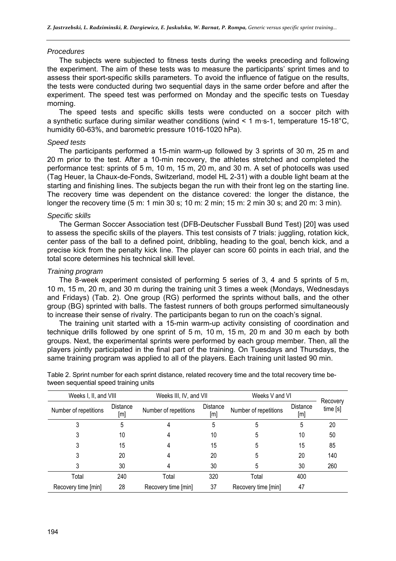#### *Procedures*

The subjects were subjected to fitness tests during the weeks preceding and following the experiment. The aim of these tests was to measure the participants' sprint times and to assess their sport-specific skills parameters. To avoid the influence of fatigue on the results, the tests were conducted during two sequential days in the same order before and after the experiment. The speed test was performed on Monday and the specific tests on Tuesday morning.

The speed tests and specific skills tests were conducted on a soccer pitch with a synthetic surface during similar weather conditions (wind < 1 m·s-1, temperature 15-18°C, humidity 60-63%, and barometric pressure 1016-1020 hPa).

#### *Speed tests*

The participants performed a 15-min warm-up followed by 3 sprints of 30 m, 25 m and 20 m prior to the test. After a 10-min recovery, the athletes stretched and completed the performance test: sprints of 5 m, 10 m, 15 m, 20 m, and 30 m. A set of photocells was used (Tag Heuer, la Chaux-de-Fonds, Switzerland, model HL 2-31) with a double light beam at the starting and finishing lines. The subjects began the run with their front leg on the starting line. The recovery time was dependent on the distance covered: the longer the distance, the longer the recovery time (5 m: 1 min 30 s; 10 m: 2 min; 15 m: 2 min 30 s; and 20 m: 3 min).

## *Specific skills*

The German Soccer Association test (DFB-Deutscher Fussball Bund Test) [20] was used to assess the specific skills of the players. This test consists of 7 trials: juggling, rotation kick, center pass of the ball to a defined point, dribbling, heading to the goal, bench kick, and a precise kick from the penalty kick line. The player can score 60 points in each trial, and the total score determines his technical skill level.

#### *Training program*

The 8-week experiment consisted of performing 5 series of 3, 4 and 5 sprints of 5 m, 10 m, 15 m, 20 m, and 30 m during the training unit 3 times a week (Mondays, Wednesdays and Fridays) (Tab. 2). One group (RG) performed the sprints without balls, and the other group (BG) sprinted with balls. The fastest runners of both groups performed simultaneously to increase their sense of rivalry. The participants began to run on the coach's signal.

The training unit started with a 15-min warm-up activity consisting of coordination and technique drills followed by one sprint of 5 m, 10 m, 15 m, 20 m and 30 m each by both groups. Next, the experimental sprints were performed by each group member. Then, all the players jointly participated in the final part of the training. On Tuesdays and Thursdays, the same training program was applied to all of the players. Each training unit lasted 90 min.

| Weeks I, II, and VIII |                        | Weeks III, IV, and VII |                        | Weeks V and VI        |                 |                     |  |
|-----------------------|------------------------|------------------------|------------------------|-----------------------|-----------------|---------------------|--|
| Number of repetitions | <b>Distance</b><br>[m] | Number of repetitions  | <b>Distance</b><br>[m] | Number of repetitions | Distance<br>[m] | Recovery<br>time[s] |  |
|                       | 5                      |                        | 5                      | 5                     | 5               | 20                  |  |
| 3                     | 10                     |                        | 10                     | 5                     | 10              | 50                  |  |
|                       | 15                     |                        | 15                     | 5                     | 15              | 85                  |  |
|                       | 20                     |                        | 20                     | 5                     | 20              | 140                 |  |
|                       | 30                     |                        | 30                     | 5                     | 30              | 260                 |  |
| Total                 | 240                    | Total                  | 320                    | Total                 | 400             |                     |  |
| Recovery time [min]   | 28                     | Recovery time [min]    | 37                     | Recovery time [min]   | 47              |                     |  |

Table 2. Sprint number for each sprint distance, related recovery time and the total recovery time between sequential speed training units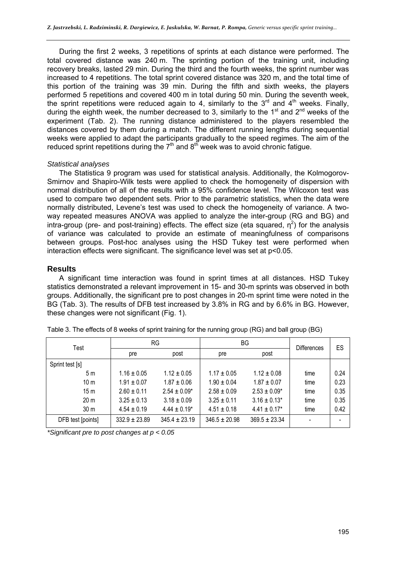During the first 2 weeks, 3 repetitions of sprints at each distance were performed. The total covered distance was 240 m. The sprinting portion of the training unit, including recovery breaks, lasted 29 min. During the third and the fourth weeks, the sprint number was increased to 4 repetitions. The total sprint covered distance was 320 m, and the total time of this portion of the training was 39 min. During the fifth and sixth weeks, the players performed 5 repetitions and covered 400 m in total during 50 min. During the seventh week, the sprint repetitions were reduced again to 4, similarly to the  $3<sup>rd</sup>$  and  $4<sup>th</sup>$  weeks. Finally, during the eighth week, the number decreased to 3, similarly to the 1<sup>st</sup> and 2<sup>nd</sup> weeks of the experiment (Tab. 2). The running distance administered to the players resembled the distances covered by them during a match. The different running lengths during sequential weeks were applied to adapt the participants gradually to the speed regimes. The aim of the reduced sprint repetitions during the  $7<sup>th</sup>$  and  $8<sup>th</sup>$  week was to avoid chronic fatigue.

#### *Statistical analyses*

The Statistica 9 program was used for statistical analysis. Additionally, the Kolmogorov-Smirnov and Shapiro-Wilk tests were applied to check the homogeneity of dispersion with normal distribution of all of the results with a 95% confidence level. The Wilcoxon test was used to compare two dependent sets. Prior to the parametric statistics, when the data were normally distributed, Levene's test was used to check the homogeneity of variance. A twoway repeated measures ANOVA was applied to analyze the inter-group (RG and BG) and intra-group (pre- and post-training) effects. The effect size (eta squared,  $\eta^2$ ) for the analysis of variance was calculated to provide an estimate of meaningfulness of comparisons between groups. Post-hoc analyses using the HSD Tukey test were performed when interaction effects were significant. The significance level was set at p<0.05.

### **Results**

A significant time interaction was found in sprint times at all distances. HSD Tukey statistics demonstrated a relevant improvement in 15- and 30-m sprints was observed in both groups. Additionally, the significant pre to post changes in 20-m sprint time were noted in the BG (Tab. 3). The results of DFB test increased by 3.8% in RG and by 6.6% in BG. However, these changes were not significant (Fig. 1).

| Test              | <b>RG</b>         |                   | ΒG                |                   | <b>Differences</b> | ES   |
|-------------------|-------------------|-------------------|-------------------|-------------------|--------------------|------|
|                   | pre               | post              | pre               | post              |                    |      |
| Sprint test [s]   |                   |                   |                   |                   |                    |      |
| 5m                | $1.16 \pm 0.05$   | $1.12 \pm 0.05$   | $1.17 \pm 0.05$   | $1.12 \pm 0.08$   | time               | 0.24 |
| 10 <sub>m</sub>   | $1.91 \pm 0.07$   | $1.87 \pm 0.06$   | $1.90 \pm 0.04$   | $1.87 \pm 0.07$   | time               | 0.23 |
| 15 <sub>m</sub>   | $2.60 \pm 0.11$   | $2.54 \pm 0.09*$  | $2.58 \pm 0.09$   | $2.53 \pm 0.09*$  | time               | 0.35 |
| 20 <sub>m</sub>   | $3.25 \pm 0.13$   | $3.18 \pm 0.09$   | $3.25 \pm 0.11$   | $3.16 \pm 0.13^*$ | time               | 0.35 |
| 30 <sub>m</sub>   | $4.54 \pm 0.19$   | $4.44 \pm 0.19^*$ | $4.51 \pm 0.18$   | $4.41 \pm 0.17$ * | time               | 0.42 |
| DFB test [points] | $332.9 \pm 23.89$ | $345.4 \pm 23.19$ | $346.5 \pm 20.98$ | $369.5 \pm 23.34$ |                    |      |

*\*Significant pre to post changes at p < 0.05*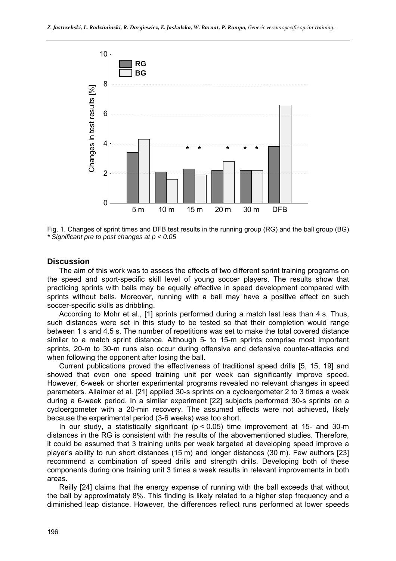

Fig. 1. Changes of sprint times and DFB test results in the running group (RG) and the ball group (BG) *\* Significant pre to post changes at p < 0.05*

## **Discussion**

The aim of this work was to assess the effects of two different sprint training programs on the speed and sport-specific skill level of young soccer players. The results show that practicing sprints with balls may be equally effective in speed development compared with sprints without balls. Moreover, running with a ball may have a positive effect on such soccer-specific skills as dribbling.

According to Mohr et al., [1] sprints performed during a match last less than 4 s. Thus, such distances were set in this study to be tested so that their completion would range between 1 s and 4.5 s. The number of repetitions was set to make the total covered distance similar to a match sprint distance. Although 5- to 15-m sprints comprise most important sprints, 20-m to 30-m runs also occur during offensive and defensive counter-attacks and when following the opponent after losing the ball.

Current publications proved the effectiveness of traditional speed drills [5, 15, 19] and showed that even one speed training unit per week can significantly improve speed. However, 6-week or shorter experimental programs revealed no relevant changes in speed parameters. Allaimer et al. [21] applied 30-s sprints on a cycloergometer 2 to 3 times a week during a 6-week period. In a similar experiment [22] subjects performed 30-s sprints on a cycloergometer with a 20-min recovery. The assumed effects were not achieved, likely because the experimental period (3-6 weeks) was too short.

In our study, a statistically significant ( $p < 0.05$ ) time improvement at 15- and 30-m distances in the RG is consistent with the results of the abovementioned studies. Therefore, it could be assumed that 3 training units per week targeted at developing speed improve a player's ability to run short distances (15 m) and longer distances (30 m). Few authors [23] recommend a combination of speed drills and strength drills. Developing both of these components during one training unit 3 times a week results in relevant improvements in both areas.

Reilly [24] claims that the energy expense of running with the ball exceeds that without the ball by approximately 8%. This finding is likely related to a higher step frequency and a diminished leap distance. However, the differences reflect runs performed at lower speeds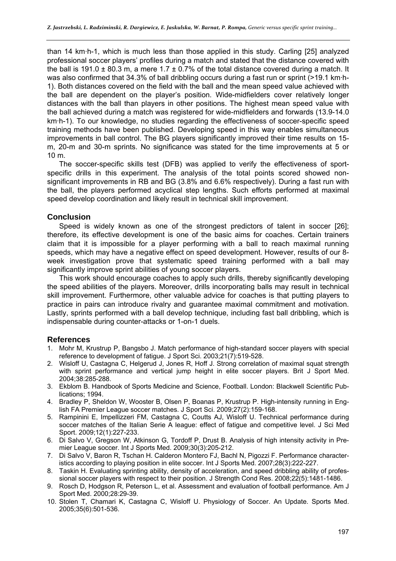than 14 km·h-1, which is much less than those applied in this study. Carling [25] analyzed professional soccer players' profiles during a match and stated that the distance covered with the ball is 191.0  $\pm$  80.3 m, a mere 1.7  $\pm$  0.7% of the total distance covered during a match. It was also confirmed that 34.3% of ball dribbling occurs during a fast run or sprint (>19.1 km·h-1). Both distances covered on the field with the ball and the mean speed value achieved with the ball are dependent on the player's position. Wide-midfielders cover relatively longer distances with the ball than players in other positions. The highest mean speed value with the ball achieved during a match was registered for wide-midfielders and forwards (13.9-14.0 km·h-1). To our knowledge, no studies regarding the effectiveness of soccer-specific speed training methods have been published. Developing speed in this way enables simultaneous improvements in ball control. The BG players significantly improved their time results on 15 m, 20-m and 30-m sprints. No significance was stated for the time improvements at 5 or 10 m.

The soccer-specific skills test (DFB) was applied to verify the effectiveness of sportspecific drills in this experiment. The analysis of the total points scored showed nonsignificant improvements in RB and BG (3.8% and 6.6% respectively). During a fast run with the ball, the players performed acyclical step lengths. Such efforts performed at maximal speed develop coordination and likely result in technical skill improvement.

## **Conclusion**

Speed is widely known as one of the strongest predictors of talent in soccer [26]; therefore, its effective development is one of the basic aims for coaches. Certain trainers claim that it is impossible for a player performing with a ball to reach maximal running speeds, which may have a negative effect on speed development. However, results of our 8 week investigation prove that systematic speed training performed with a ball may significantly improve sprint abilities of young soccer players.

This work should encourage coaches to apply such drills, thereby significantly developing the speed abilities of the players. Moreover, drills incorporating balls may result in technical skill improvement. Furthermore, other valuable advice for coaches is that putting players to practice in pairs can introduce rivalry and guarantee maximal commitment and motivation. Lastly, sprints performed with a ball develop technique, including fast ball dribbling, which is indispensable during counter-attacks or 1-on-1 duels.

### **References**

- 1. Mohr M, Krustrup P, Bangsbo J. Match performance of high-standard soccer players with special reference to development of fatigue. J Sport Sci. 2003;21(7):519-528.
- 2. Wisloff U, Castagna C, Helgerud J, Jones R, Hoff J. Strong correlation of maximal squat strength with sprint performance and vertical jump height in elite soccer players. Brit J Sport Med. 2004;38:285-288.
- 3. Ekblom B. Handbook of Sports Medicine and Science, Football. London: Blackwell Scientific Publications; 1994.
- 4. Bradley P, Sheldon W, Wooster B, Olsen P, Boanas P, Krustrup P. High-intensity running in English FA Premier League soccer matches. J Sport Sci. 2009;27(2):159-168.
- 5. Rampinini E, Impellizzeri FM, Castagna C, Coutts AJ, Wisloff U. Technical performance during soccer matches of the Italian Serie A league: effect of fatigue and competitive level. J Sci Med Sport. 2009;12(1):227-233.
- 6. Di Salvo V, Gregson W, Atkinson G, Tordoff P, Drust B. Analysis of high intensity activity in Premier League soccer. Int J Sports Med. 2009;30(3):205-212.
- 7. Di Salvo V, Baron R, Tschan H. Calderon Montero FJ, Bachl N, Pigozzi F. Performance characteristics according to playing position in elite soccer. Int J Sports Med. 2007;28(3):222-227.
- 8. Taskin H. Evaluating sprinting ability, density of acceleration, and speed dribbling ability of professional soccer players with respect to their position. J Strength Cond Res. 2008;22(5):1481-1486.
- 9. Rosch D, Hodgson R, Peterson L, et al. Assessment and evaluation of football performance. Am J Sport Med. 2000;28:29-39.
- 10. Stolen T, Chamari K, Castagna C, Wisloff U. Physiology of Soccer. An Update. Sports Med. 2005;35(6):501-536.